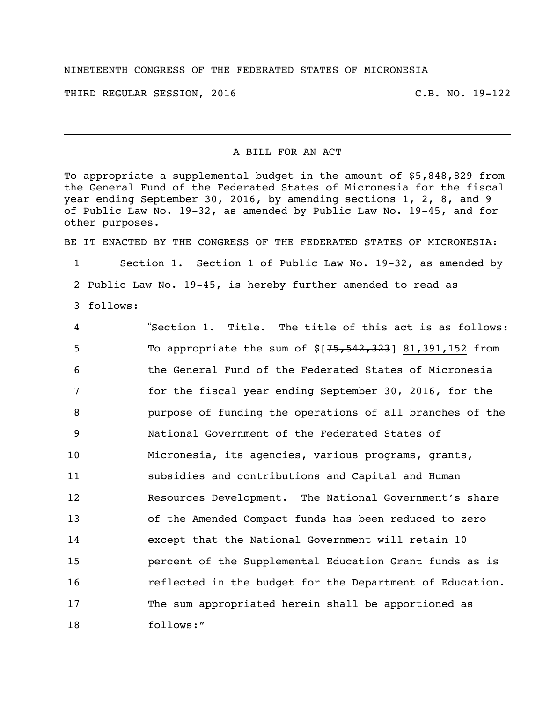## NINETEENTH CONGRESS OF THE FEDERATED STATES OF MICRONESIA

THIRD REGULAR SESSION, 2016 C.B. NO. 19-122

## A BILL FOR AN ACT

To appropriate a supplemental budget in the amount of \$5,848,829 from the General Fund of the Federated States of Micronesia for the fiscal year ending September 30, 2016, by amending sections 1, 2, 8, and 9 of Public Law No. 19-32, as amended by Public Law No. 19-45, and for other purposes.

BE IT ENACTED BY THE CONGRESS OF THE FEDERATED STATES OF MICRONESIA:

 Section 1. Section 1 of Public Law No. 19-32, as amended by Public Law No. 19-45, is hereby further amended to read as follows:

 "Section 1. Title. The title of this act is as follows: 5 To appropriate the sum of  $$[75,542,323]$  81,391,152 from the General Fund of the Federated States of Micronesia for the fiscal year ending September 30, 2016, for the purpose of funding the operations of all branches of the National Government of the Federated States of Micronesia, its agencies, various programs, grants, subsidies and contributions and Capital and Human Resources Development. The National Government's share of the Amended Compact funds has been reduced to zero except that the National Government will retain 10 percent of the Supplemental Education Grant funds as is reflected in the budget for the Department of Education. The sum appropriated herein shall be apportioned as follows:"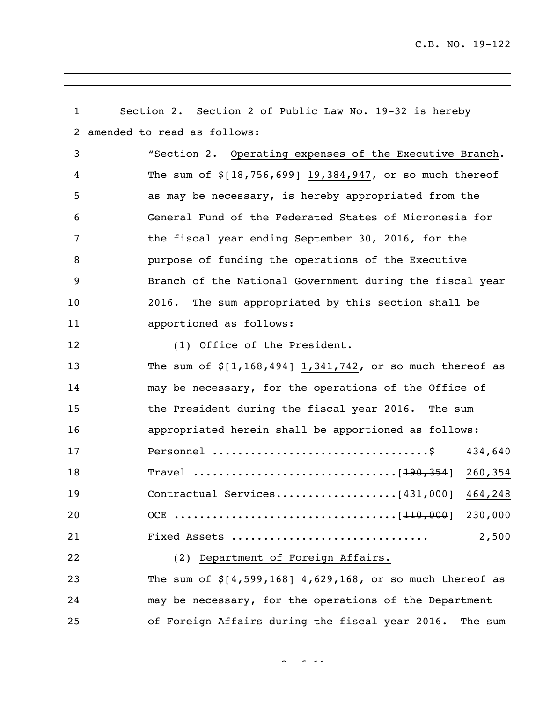| 1                 | Section 2. Section 2 of Public Law No. 19-32 is hereby        |
|-------------------|---------------------------------------------------------------|
| 2                 | amended to read as follows:                                   |
| 3                 | "Section 2. Operating expenses of the Executive Branch.       |
| 4                 | The sum of $$[18, 756, 699]$ 19,384,947, or so much thereof   |
| 5                 | as may be necessary, is hereby appropriated from the          |
| 6                 | General Fund of the Federated States of Micronesia for        |
| 7                 | the fiscal year ending September 30, 2016, for the            |
| 8                 | purpose of funding the operations of the Executive            |
| 9                 | Branch of the National Government during the fiscal year      |
| 10                | The sum appropriated by this section shall be<br>2016.        |
| 11                | apportioned as follows:                                       |
| $12 \overline{ }$ | (1) Office of the President.                                  |
| 13                | The sum of $\S[1, 168, 494]$ 1,341,742, or so much thereof as |
| 14                | may be necessary, for the operations of the Office of         |
| 15                | the President during the fiscal year 2016. The sum            |
| 16                | appropriated herein shall be apportioned as follows:          |
| 17                | 434,640                                                       |
| 18                |                                                               |
| 19                | Contractual Services[431,000] 464,248                         |
| 20                |                                                               |
| 21                | 2,500<br>Fixed Assets                                         |
| 22                | (2) Department of Foreign Affairs.                            |
| 23                | The sum of $$[4,599,168]$ 4,629,168, or so much thereof as    |
| 24                | may be necessary, for the operations of the Department        |
| 25                | of Foreign Affairs during the fiscal year 2016. The sum       |

 $2 \times 111$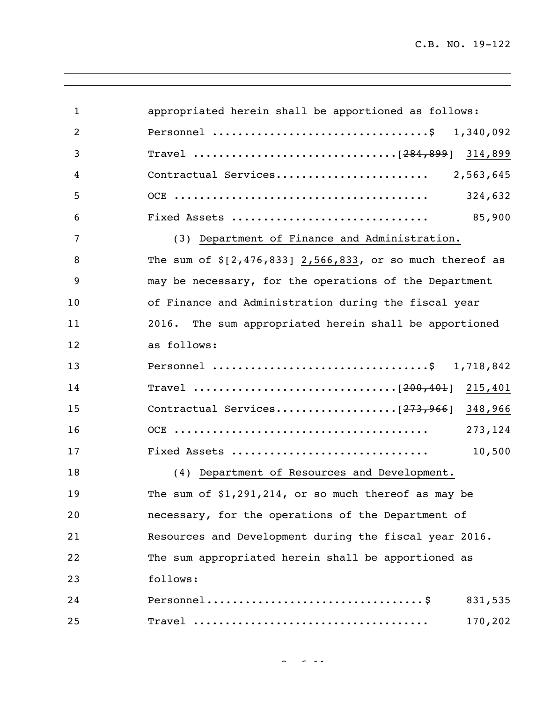| 1<br>2<br>3<br>4<br>5<br>Fixed Assets<br>6<br>7<br>(3) Department of Finance and Administration.<br>8<br>9<br>10<br>11<br>2016.<br>12<br>as follows:<br>13<br>14<br>15<br>16<br>Fixed Assets<br>17<br>(4) Department of Resources and Development.<br>18<br>19<br>20<br>21<br>22<br>follows:<br>23<br>24 |    |                                                               |
|----------------------------------------------------------------------------------------------------------------------------------------------------------------------------------------------------------------------------------------------------------------------------------------------------------|----|---------------------------------------------------------------|
|                                                                                                                                                                                                                                                                                                          |    | appropriated herein shall be apportioned as follows:          |
|                                                                                                                                                                                                                                                                                                          |    | Personnel \$ 1,340,092                                        |
|                                                                                                                                                                                                                                                                                                          |    |                                                               |
|                                                                                                                                                                                                                                                                                                          |    |                                                               |
|                                                                                                                                                                                                                                                                                                          |    | 324,632                                                       |
|                                                                                                                                                                                                                                                                                                          |    | 85,900                                                        |
|                                                                                                                                                                                                                                                                                                          |    |                                                               |
|                                                                                                                                                                                                                                                                                                          |    | The sum of $\S[2, 476, 833]$ 2,566,833, or so much thereof as |
|                                                                                                                                                                                                                                                                                                          |    | may be necessary, for the operations of the Department        |
|                                                                                                                                                                                                                                                                                                          |    | of Finance and Administration during the fiscal year          |
|                                                                                                                                                                                                                                                                                                          |    | The sum appropriated herein shall be apportioned              |
|                                                                                                                                                                                                                                                                                                          |    |                                                               |
|                                                                                                                                                                                                                                                                                                          |    | Personnel \$ 1,718,842                                        |
|                                                                                                                                                                                                                                                                                                          |    |                                                               |
|                                                                                                                                                                                                                                                                                                          |    | Contractual Services[273,966] 348,966                         |
|                                                                                                                                                                                                                                                                                                          |    | 273, 124                                                      |
|                                                                                                                                                                                                                                                                                                          |    | 10,500                                                        |
|                                                                                                                                                                                                                                                                                                          |    |                                                               |
|                                                                                                                                                                                                                                                                                                          |    | The sum of \$1,291,214, or so much thereof as may be          |
|                                                                                                                                                                                                                                                                                                          |    | necessary, for the operations of the Department of            |
|                                                                                                                                                                                                                                                                                                          |    | Resources and Development during the fiscal year 2016.        |
|                                                                                                                                                                                                                                                                                                          |    | The sum appropriated herein shall be apportioned as           |
|                                                                                                                                                                                                                                                                                                          |    |                                                               |
|                                                                                                                                                                                                                                                                                                          |    | 831,535                                                       |
|                                                                                                                                                                                                                                                                                                          | 25 | 170,202                                                       |

 $3 \times 1111$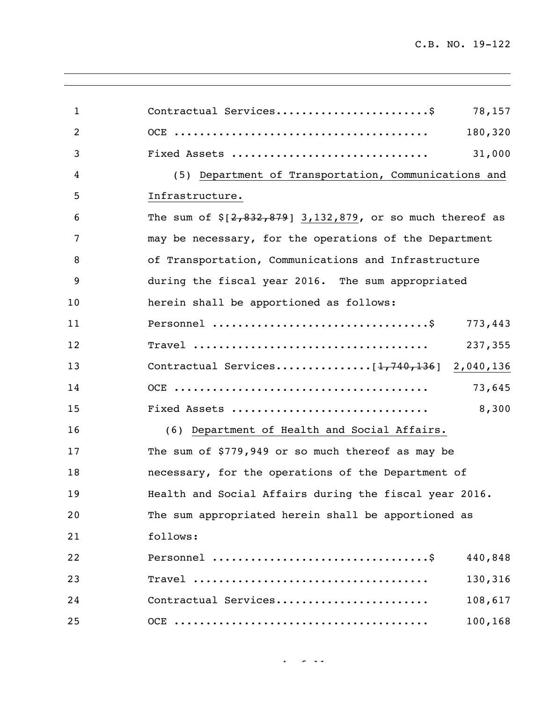<u> 1980 - Johann Barn, mars eta bainar eta bainar eta baina eta baina eta baina eta baina eta baina eta baina e</u>

| $\mathbf{1}$   | Contractual Services\$<br>78,157                            |
|----------------|-------------------------------------------------------------|
| $\overline{2}$ | 180,320                                                     |
| 3              | Fixed Assets<br>31,000                                      |
| 4              | (5) Department of Transportation, Communications and        |
| 5              | Infrastructure.                                             |
| 6              | The sum of $\S[2,832,879]$ 3,132,879, or so much thereof as |
| 7              | may be necessary, for the operations of the Department      |
| 8              | of Transportation, Communications and Infrastructure        |
| 9              | during the fiscal year 2016. The sum appropriated           |
| 10             | herein shall be apportioned as follows:                     |
| 11             | 773,443                                                     |
| 12             | 237,355                                                     |
| 13             | Contractual Services[1,740,136] 2,040,136                   |
| 14             | 73,645                                                      |
| 15             | 8,300<br>Fixed Assets                                       |
| 16             | (6) Department of Health and Social Affairs.                |
| 17             | The sum of \$779,949 or so much thereof as may be           |
| 18             | necessary, for the operations of the Department of          |
| 19             | Health and Social Affairs during the fiscal year 2016.      |
| 20             | The sum appropriated herein shall be apportioned as         |
| 21             | follows:                                                    |
| 22             | 440,848                                                     |
| 23             | 130,316                                                     |
| 24             | Contractual Services<br>108,617                             |
| 25             | 100,168                                                     |

 $4 + 111$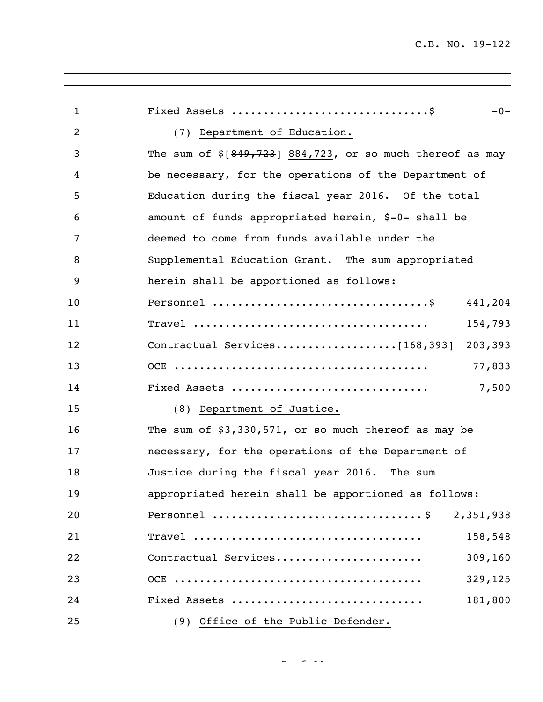| $\mathbf{1}$ | $-0-$                                                       |
|--------------|-------------------------------------------------------------|
| 2            | (7) Department of Education.                                |
| 3            | The sum of $$[849, 723]$ 884,723, or so much thereof as may |
| 4            | be necessary, for the operations of the Department of       |
| 5            | Education during the fiscal year 2016. Of the total         |
| 6            | amount of funds appropriated herein, \$-0- shall be         |
| 7            | deemed to come from funds available under the               |
| 8            | Supplemental Education Grant. The sum appropriated          |
| 9            | herein shall be apportioned as follows:                     |
| 10           | 441,204                                                     |
| 11           | 154,793                                                     |
| 12           |                                                             |
| 13           | 77,833                                                      |
| 14           | Fixed Assets<br>7,500                                       |
| 15           | (8) Department of Justice.                                  |
| 16           | The sum of \$3,330,571, or so much thereof as may be        |
| 17           | necessary, for the operations of the Department of          |
| 18           | Justice during the fiscal year 2016. The sum                |
| 19           | appropriated herein shall be apportioned as follows:        |
| 20           | 2,351,938                                                   |
| 21           | $\texttt{True}$<br>158,548                                  |
| 22           | Contractual Services<br>309,160                             |
| 23           | 329,125                                                     |
| 24           | Fixed Assets<br>181,800                                     |
| 25           | (9) Office of the Public Defender.                          |

 $\omega_{\rm{eff}}$  of 111  $\omega_{\rm{eff}}$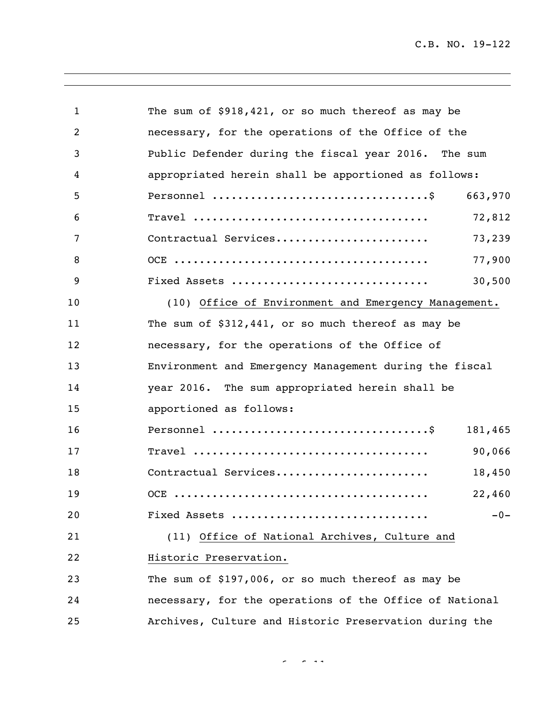| 1  | The sum of \$918,421, or so much thereof as may be      |
|----|---------------------------------------------------------|
| 2  | necessary, for the operations of the Office of the      |
| 3  | Public Defender during the fiscal year 2016. The sum    |
| 4  | appropriated herein shall be apportioned as follows:    |
| 5  | 663,970                                                 |
| 6  | 72,812                                                  |
| 7  | Contractual Services<br>73,239                          |
| 8  | 77,900                                                  |
| 9  | Fixed Assets<br>30,500                                  |
| 10 | (10) Office of Environment and Emergency Management.    |
| 11 | The sum of \$312,441, or so much thereof as may be      |
| 12 | necessary, for the operations of the Office of          |
| 13 | Environment and Emergency Management during the fiscal  |
| 14 | year 2016. The sum appropriated herein shall be         |
| 15 | apportioned as follows:                                 |
| 16 | 181,465                                                 |
| 17 | 90,066                                                  |
| 18 | Contractual Services<br>18,450                          |
| 19 | 22,460<br>OCE                                           |
| 20 | Fixed Assets<br>$-0-$                                   |
| 21 | (11) Office of National Archives, Culture and           |
| 22 | Historic Preservation.                                  |
| 23 | The sum of \$197,006, or so much thereof as may be      |
| 24 | necessary, for the operations of the Office of National |
| 25 | Archives, Culture and Historic Preservation during the  |

 $\sigma_{\rm eff}$  of  $\sigma_{\rm eff}$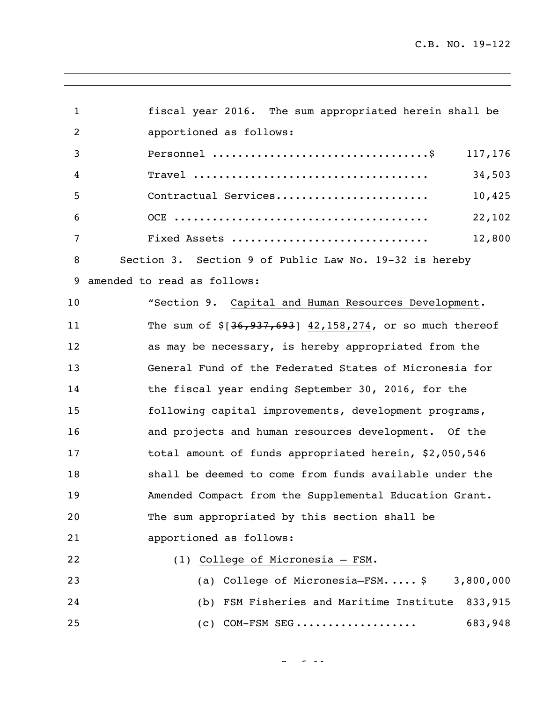| $\mathbf{1}$   | fiscal year 2016. The sum appropriated herein shall be      |
|----------------|-------------------------------------------------------------|
| $\overline{c}$ | apportioned as follows:                                     |
| 3              | 117,176                                                     |
| 4              | 34,503                                                      |
| 5              | Contractual Services<br>10,425                              |
| 6              | 22,102                                                      |
| 7              | Fixed Assets<br>12,800                                      |
| 8              | Section 3. Section 9 of Public Law No. 19-32 is hereby      |
| 9              | amended to read as follows:                                 |
| 10             | "Section 9. Capital and Human Resources Development.        |
| 11             | The sum of $$[36, 937, 693]$ 42,158,274, or so much thereof |
| 12             | as may be necessary, is hereby appropriated from the        |
| 13             | General Fund of the Federated States of Micronesia for      |
| 14             | the fiscal year ending September 30, 2016, for the          |
| 15             | following capital improvements, development programs,       |
| 16             | and projects and human resources development. Of the        |
| 17             | total amount of funds appropriated herein, \$2,050,546      |
| 18             | shall be deemed to come from funds available under the      |
| 19             | Amended Compact from the Supplemental Education Grant.      |
| 20             | The sum appropriated by this section shall be               |
| 21             | apportioned as follows:                                     |
| 22             | (1) College of Micronesia - FSM.                            |
| 23             | (a) College of Micronesia-FSM $\frac{1}{2}$ 3,800,000       |
| 24             | (b) FSM Fisheries and Maritime Institute 833,915            |
| 25             | $(c)$ COM-FSM SEG<br>683,948                                |

 $\frac{1}{2}$  of  $\frac{1}{2}$  of  $\frac{1}{2}$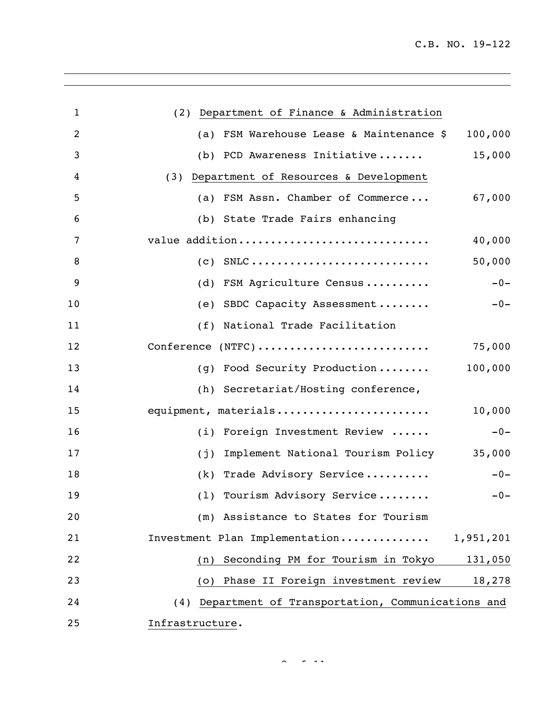| 1  | (2) Department of Finance & Administration           |
|----|------------------------------------------------------|
| 2  | (a) FSM Warehouse Lease & Maintenance \$<br>100,000  |
| 3  | 15,000<br>(b) PCD Awareness Initiative               |
| 4  | (3) Department of Resources & Development            |
| 5  | (a) FSM Assn. Chamber of Commerce<br>67,000          |
| 6  | (b) State Trade Fairs enhancing                      |
| 7  | value addition<br>40,000                             |
| 8  | $(c)$ SNLC<br>50,000                                 |
| 9  | (d) FSM Agriculture Census<br>$-0-$                  |
| 10 | (e) SBDC Capacity Assessment<br>$-0-$                |
| 11 | (f) National Trade Facilitation                      |
| 12 | Conference (NTFC)<br>75,000                          |
| 13 | 100,000<br>(g) Food Security Production              |
| 14 | (h) Secretariat/Hosting conference,                  |
| 15 | equipment, materials<br>10,000                       |
| 16 | (i) Foreign Investment Review<br>$-0-$               |
| 17 | 35,000<br>Implement National Tourism Policy<br>(i)   |
| 18 | (k) Trade Advisory Service<br>$-0-$                  |
| 19 | (1) Tourism Advisory Service<br>$-0-$                |
| 20 | (m) Assistance to States for Tourism                 |
| 21 | Investment Plan Implementation<br>1,951,201          |
| 22 | Seconding PM for Tourism in Tokyo<br>131,050<br>(n)  |
| 23 | (o) Phase II Foreign investment review<br>18,278     |
| 24 | (4) Department of Transportation, Communications and |
| 25 | Infrastructure.                                      |

 $8 < 111$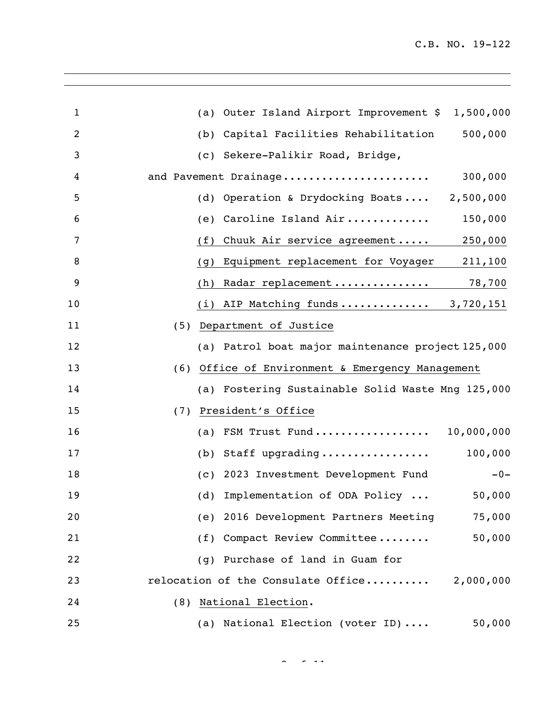| 1              | (a) Outer Island Airport Improvement \$ 1,500,000   |
|----------------|-----------------------------------------------------|
| $\overline{2}$ | 500,000<br>Capital Facilities Rehabilitation<br>(b) |
| 3              | (c) Sekere-Palikir Road, Bridge,                    |
| 4              | 300,000<br>and Pavement Drainage                    |
| 5              | Operation & Drydocking Boats<br>2,500,000<br>(d)    |
| 6              | Caroline Island Air<br>150,000<br>(e)               |
| 7              | Chuuk Air service agreement<br>250,000<br>(f)       |
| 8              | Equipment replacement for Voyager<br>211,100<br>(g) |
| 9              | Radar replacement<br>78,700<br>(h)                  |
| 10             | (i) AIP Matching funds $3,720,151$                  |
| 11             | (5) Department of Justice                           |
| 12             | (a) Patrol boat major maintenance project 125,000   |
| 13             | Office of Environment & Emergency Management<br>(6) |
| 14             | (a) Fostering Sustainable Solid Waste Mng 125,000   |
| 15             | President's Office<br>(7)                           |
| 16             | FSM Trust Fund<br>10,000,000<br>(a)                 |
| 17             | Staff upgrading<br>100,000<br>(b)                   |
| 18             | 2023 Investment Development Fund<br>$-0-$<br>(C)    |
| 19             | (d) Implementation of ODA Policy<br>50,000          |
| 20             | (e) 2016 Development Partners Meeting<br>75,000     |
| 21             | (f) Compact Review Committee<br>50,000              |
| 22             | (g) Purchase of land in Guam for                    |
| 23             | relocation of the Consulate Office 2,000,000        |
| 24             | (8) National Election.                              |
| 25             | (a) National Election (voter ID)<br>50,000          |

 $\sigma$  of  $\sigma$  111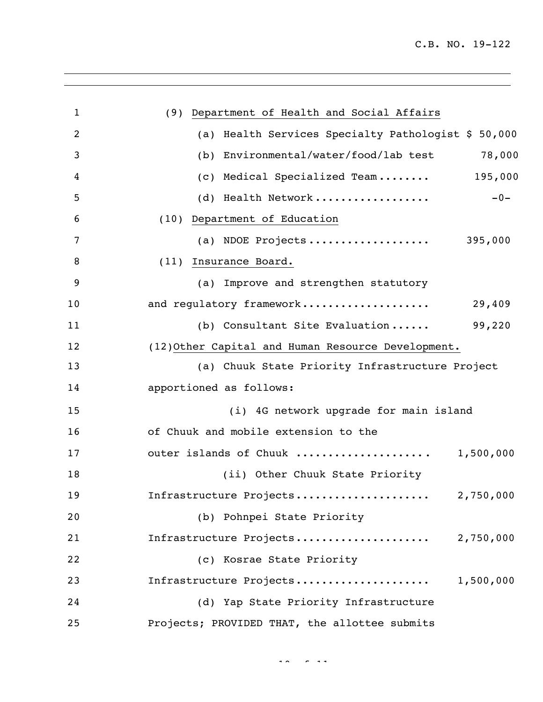<u> 1980 - Johann Barbara, martxa amerikan personal (</u>

| $\mathbf{1}$ | (9) Department of Health and Social Affairs         |
|--------------|-----------------------------------------------------|
| 2            | (a) Health Services Specialty Pathologist \$ 50,000 |
| 3            | (b) Environmental/water/food/lab test<br>78,000     |
| 4            | (c) Medical Specialized Team 195,000                |
| 5            | (d) Health Network<br>$-0-$                         |
| 6            | (10) Department of Education                        |
| 7            | (a) NDOE Projects 395,000                           |
| 8            | (11) Insurance Board.                               |
| 9            | (a) Improve and strengthen statutory                |
| 10           | and regulatory framework<br>29,409                  |
| 11           | 99,220<br>(b) Consultant Site Evaluation            |
| 12           | (12) Other Capital and Human Resource Development.  |
| 13           | (a) Chuuk State Priority Infrastructure Project     |
| 14           | apportioned as follows:                             |
| 15           | (i) 4G network upgrade for main island              |
| 16           | of Chuuk and mobile extension to the                |
| 17           | outer islands of Chuuk  1,500,000                   |
| 18           | (ii) Other Chuuk State Priority                     |
| 19           | Infrastructure Projects<br>2,750,000                |
| 20           | (b) Pohnpei State Priority                          |
| 21           | Infrastructure Projects 2,750,000                   |
| 22           | (c) Kosrae State Priority                           |
| 23           | Infrastructure Projects<br>1,500,000                |
| 24           | (d) Yap State Priority Infrastructure               |
| 25           | Projects; PROVIDED THAT, the allottee submits       |

of 11